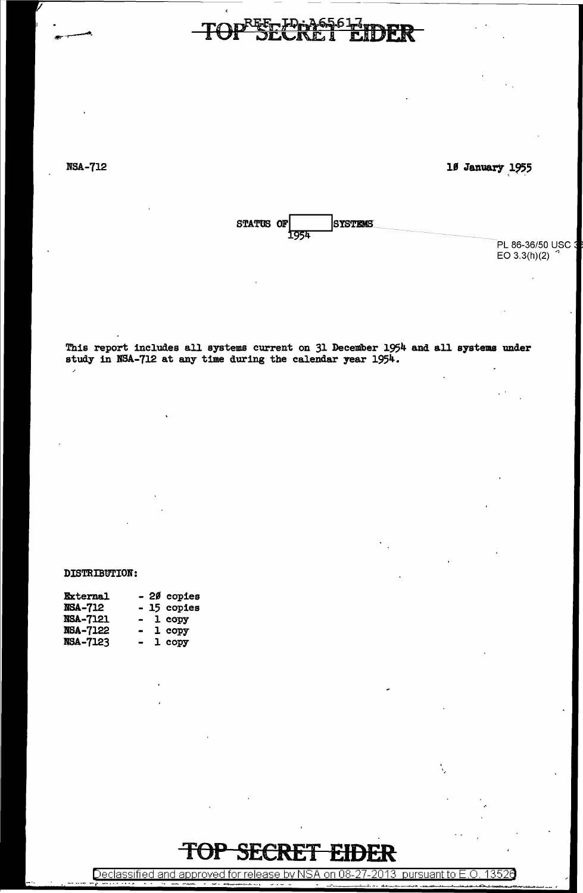NSA-712

 $\overline{a}$ 

10 January 1955

-------------------



PL 86-36/50 USC 3 EO  $3.3(h)(2)$ 

This report includes all systems current on 31 December 1954 and all systems under study in NSA-712 at any time during the calendar year 1954.

#### DISTRIBWION:

| <b>External</b> | - 20 copies              |
|-----------------|--------------------------|
| <b>NSA-712</b>  | - 15 copies              |
| <b>NSA-7121</b> | - 1 copy                 |
| <b>NSA-7122</b> | 1 copy<br>$\blacksquare$ |
| <b>NSA-7123</b> | 1 copy<br>$\blacksquare$ |

#### TOP SECR

Declassified and approved for release by NSA on 08-27-2013 pursuant to E.O. 13526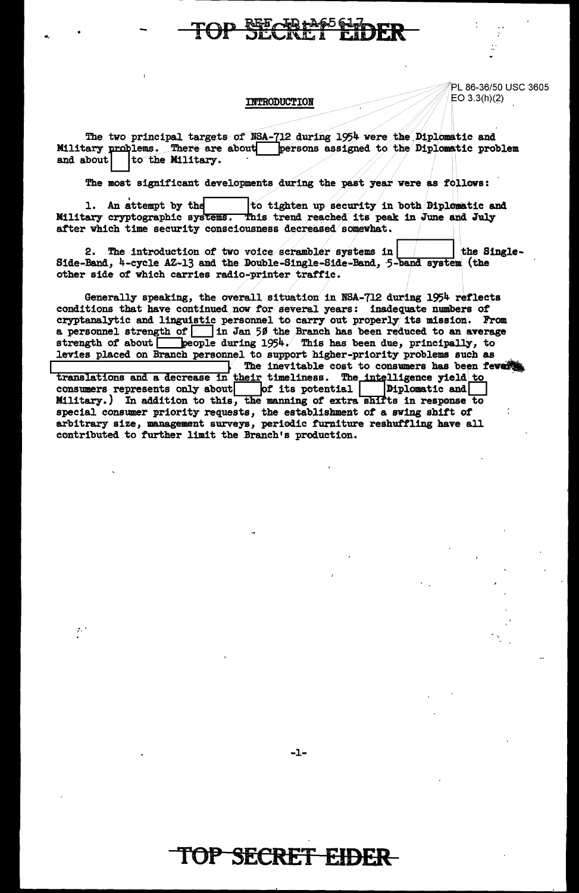#### **REE TO LAGO GL.**

PL 86-36/50 USC 3605 EO  $3.3(h)(2)$ 

#### INTRODUCTION

The two principal targets of NSA-712 during 1954 were the Diplomatic and Military problems. There are about persons assigned to the Diplomatic problem and about to the Military.

The most significant developments during the past year were as follows:

1. An attempt by the to tighten up security in both Biplomatic and Military cryptographic systems. This trend reached its peak in June and July after which time security consciousness decreased somewhat.

2. The introduction of two voice scrambler systems in the Single-Side-Band, 4-cycle AZ-13 and the Double-Single-Side-Band, 5-band system (the other side of which carries radio-printer traffic.

Generally speaking, the overall situation in NSA-712 during 1954 reflects conditions that have continued now for several years: inadequate numbers of cryptanalytic and linguistic personnel to carry out properly its mission. From a personnel strength of  $\boxed{\phantom{a}}$  in Jan 50 the Branch has been reduced to an average strength of about people during  $1954$ . This has been due, principally, to levies placed on Branch personnel to support higher-priority problems such as

The inevitable cost to consumers has been fevers translations and a decrease in their timeliness. The intelligence yield to consumers represents only about of its potential Diplomatic and Military.) In addition to this, the manning of extra shifts in response to special consumer priority requests, the establishment of a swing shift of arbitrary size, management surveys, periodic furniture reshuffling have all contributed to further limit the Branch's production.

 $\mathcal{E}^{(1)}$ 

 $-1-$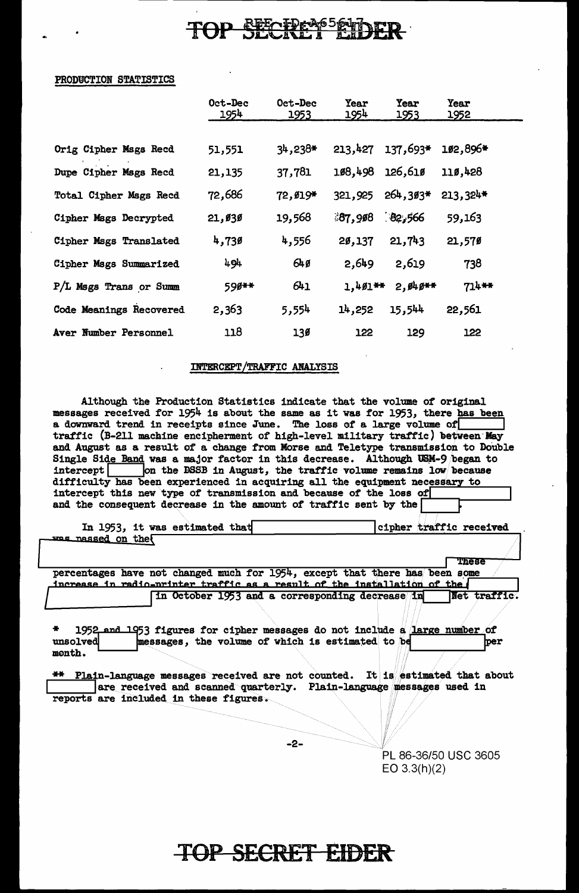## REF TPRAG564

#### PRODUCTION STATISTICS

|                         | Oct-Dec<br><u> 1954 </u> | Oct-Dec<br>1953 | <b>Year</b><br>1954 | Year<br>1953 | <b>Year</b><br><u> 1952 </u> |  |
|-------------------------|--------------------------|-----------------|---------------------|--------------|------------------------------|--|
|                         |                          |                 |                     |              |                              |  |
| Orig Cipher Msgs Recd   | 51,551                   | $34,238*$       | 213,427             | 137,693*     | 102,896*                     |  |
| Dupe Cipher Msgs Recd   | 21,135                   | 37,781          | 108,498             | 126,61ø      | 110,428                      |  |
| Total Cipher Mags Recd  | 72,686                   | 72, Ø19*        | 321,925             | $264,393*$   | $213,324*$                   |  |
| Cipher Mags Decrypted   | 21,030                   | 19,568          | 37,908              | 82,566       | 59,163                       |  |
| Cipher Mags Translated  | 4,730                    | 4,556           | 20,137              | 21,743       | 21,570                       |  |
| Cipher Mags Summarized  | 494                      | 64g             | 2.649               | 2,619        | 738                          |  |
| P/L Msgs Trans or Summ  | 590**                    | 641             | $1,401**$           | $2,949**$    | 714**                        |  |
| Code Meanings Recovered | 2,363                    | 5,554           | 14,252              | 15,544       | 22,561                       |  |
| Aver Number Personnel   | 118                      | 130             | 122                 | 129          | 122                          |  |

#### INTERCEPT/TRAFFIC ANALYSIS

Although the Production Statistics indicate that the volume of original messages received for 1954 is about the same as it was for 1953, there has been a downward trend in receipts since June. The loss of a large volume of traffic (B-211 machine encipherment of high-level military traffic) between May and August as a result of a change from Morse and Teletype transmission to Double Single Side Band was a major factor in this decrease. Although USM-9 began to intercept on the DSSB in August, the traffic volume remains low because difficulty has been experienced in acquiring all the equipment necessary intercept this new type of transmission and because of the loss of and the consequent decrease in the amount of traffic sent by the

|                  | In 1953, it was estimated that |  | cipher traffic received |
|------------------|--------------------------------|--|-------------------------|
| me nassed on the |                                |  |                         |
|                  |                                |  |                         |

percentages have not changed much for 1954, except that there has been some increase in radio-printer traffic as a result of the installation of the Net traffic in October 1953 and a corresponding decrease in

1952 and 1953 figures for cipher messages do not include a large number of messages, the volume of which is estimated to be unsolved ber month.

\*\* Plain-language messages received are not counted. It is estimated that about are received and scanned quarterly. Plain-language messages used in reports are included in these figures.

-2-

PL 86-36/50 USC 3605  $EO 3.3(h)(2)$ 

These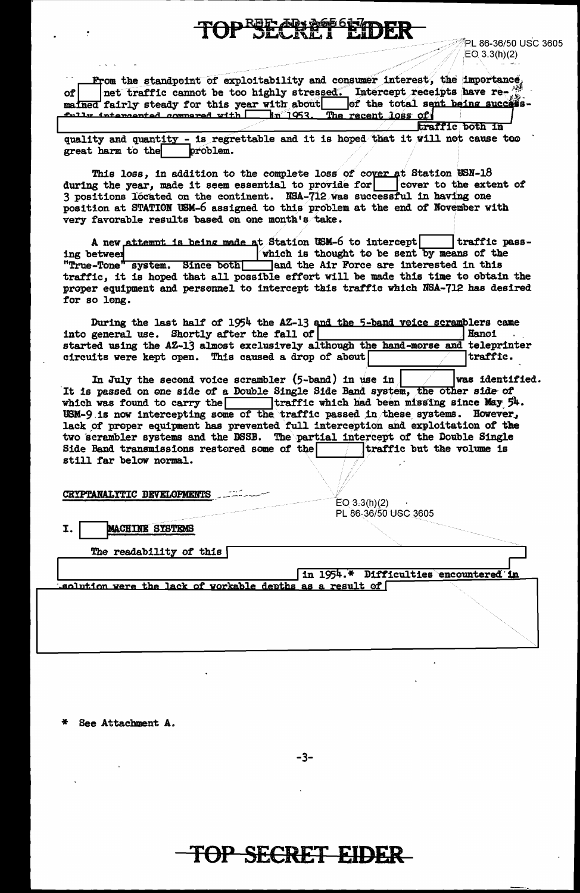**AD + AG** 

PL 86-36/50 USC 3605  $EO$  3.3(h)(2)

| $\sim$ $\sim$ |                                               |  |  |  |  |                                                          | From the standpoint of exploitability and consumer interest, the importance, |  |  |
|---------------|-----------------------------------------------|--|--|--|--|----------------------------------------------------------|------------------------------------------------------------------------------|--|--|
| of            |                                               |  |  |  |  |                                                          | net traffic cannot be too highly stressed. Intercept receipts have re-       |  |  |
|               | mained fairly steady for this year with about |  |  |  |  |                                                          | of the total sent being success-                                             |  |  |
|               |                                               |  |  |  |  | fully intendented commercd with 1953. The recent loss of |                                                                              |  |  |
|               |                                               |  |  |  |  |                                                          | EPOPPIC DOEB IN                                                              |  |  |

quality and quantity - is regrettable and it is hoped that it will not cause teo problem. great harm to the

This loss, in addition to the complete loss of cover at Station USN-18 during the year, made it seem essential to provide for cover to the extent of 3 positions located on the continent. NSA-712 was successful in having one position at STATION USM-6 assigned to this problem at the end of November with very favorable results based on one month's take.

A new attempt is being made at Station USM-6 to intercept traffic passwhich is thought to be sent by means of the ing between "True-Tone" system. Since both Tand the Air Force are interested in this traffic, it is hoped that all possible effort will be made this time to obtain the proper equipment and personnel to intercept this traffic which NSA-712 has desired for so long.

During the last half of 1954 the AZ-13 and the 5-band voice scramblers came into general use. Shortly after the fall of Hanoi started using the AZ-13 almost exclusively although the hand-morse and teleprinter circuits were kept open. This caused a drop of about traffic.

In July the second voice scrambler  $(5$ -band) in use in was identified. It is passed on one side of a Double Single Side Band system, the other side of which was found to carry the traffic which had been missing since May  $54$ . USM-9 is now intercepting some of the traffic passed in these systems. However, lack of proper equipment has prevented full interception and exploitation of the two scrambler systems and the DSSB. The partial intercept of the Double Single Side Band transmissions restored some of the  $\sqrt{\frac{1}{2}}$  traffic but the volume is still far below normal.

CRYPTANALYTIC DEVELOPMENTS

 $EO(3.3(h)(2)$ PL 86-36/50 USC 3605

**MACHINE SYSTEMS** T.

The readability of this  $\lceil$ 

in 1954.\* Difficulties encountered in

aclution were the lack of workable depths as a result of  $\lceil$ 

See Attachment A.

-3-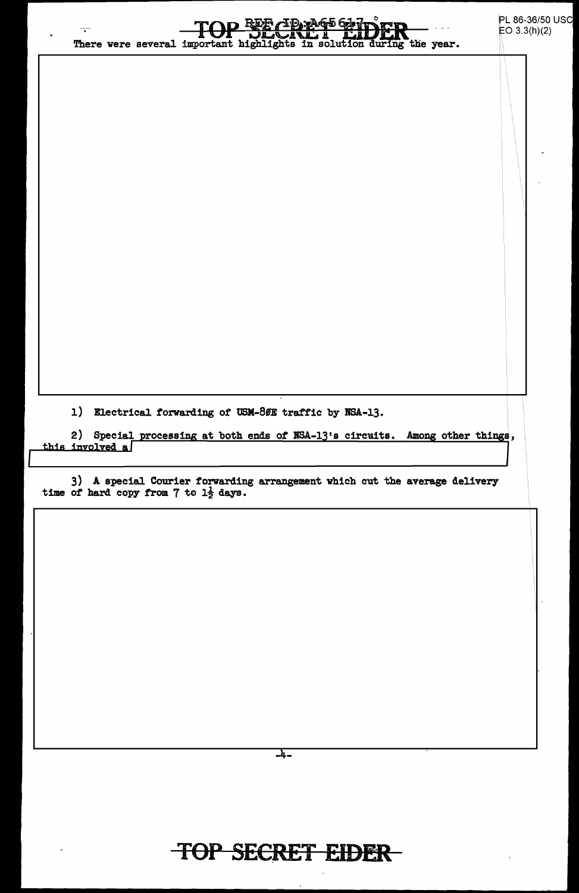| 777                   | There were several important highlights in solution during the year. | ∖cd<br>სტომ დეოგ                                 |                                                     | PL 86-36/50 USC<br>EO $3.3(h)(2)$                                                                                                                          |
|-----------------------|----------------------------------------------------------------------|--------------------------------------------------|-----------------------------------------------------|------------------------------------------------------------------------------------------------------------------------------------------------------------|
|                       |                                                                      |                                                  |                                                     |                                                                                                                                                            |
|                       |                                                                      |                                                  |                                                     |                                                                                                                                                            |
|                       |                                                                      |                                                  |                                                     |                                                                                                                                                            |
| 1)<br>this involved a |                                                                      |                                                  |                                                     |                                                                                                                                                            |
|                       |                                                                      |                                                  |                                                     |                                                                                                                                                            |
|                       |                                                                      |                                                  |                                                     |                                                                                                                                                            |
|                       |                                                                      |                                                  |                                                     |                                                                                                                                                            |
|                       |                                                                      | time of hard copy from 7 to $1\frac{1}{2}$ days. | Electrical forwarding of USM-80E traffic by NSA-13. | 2) Special processing at both ends of NSA-13's circuits. Among other things,<br>3) A special Courier forwarding arrangement which cut the average delivery |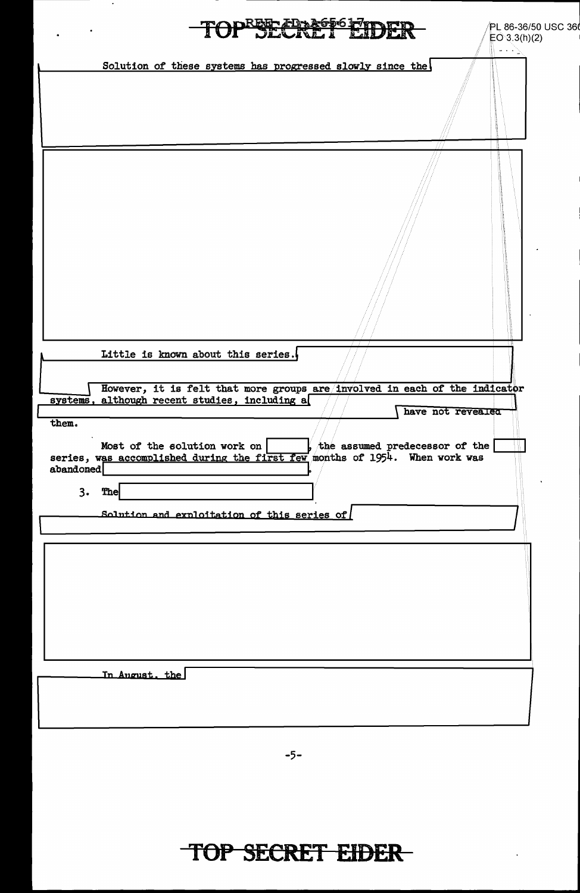|                          | REE EDASTO FIDER                                                                                                                                                                                                           | PL 86-36/50 USC 36 |
|--------------------------|----------------------------------------------------------------------------------------------------------------------------------------------------------------------------------------------------------------------------|--------------------|
|                          |                                                                                                                                                                                                                            | EO 3.3(h)(2)       |
|                          | Solution of these systems has progressed slowly since the                                                                                                                                                                  | and a consequently |
|                          |                                                                                                                                                                                                                            | ä                  |
|                          | Little is known about this series.<br>However, it is felt that more groups are involved in each of the indicator<br>systems, although recent studies, including a                                                          |                    |
| them.<br>abandoned<br>3. | have not revealed<br>Most of the solution work on<br>, the assumed predecessor of the<br>series, was accomplished during the first few months of 1954. When work was<br>The<br>Solution and exploitation of this series of |                    |
|                          |                                                                                                                                                                                                                            |                    |
|                          | In August, the                                                                                                                                                                                                             |                    |

 $-5-$ 

# TOP SECRET EIDER

 $\ddot{\phantom{0}}$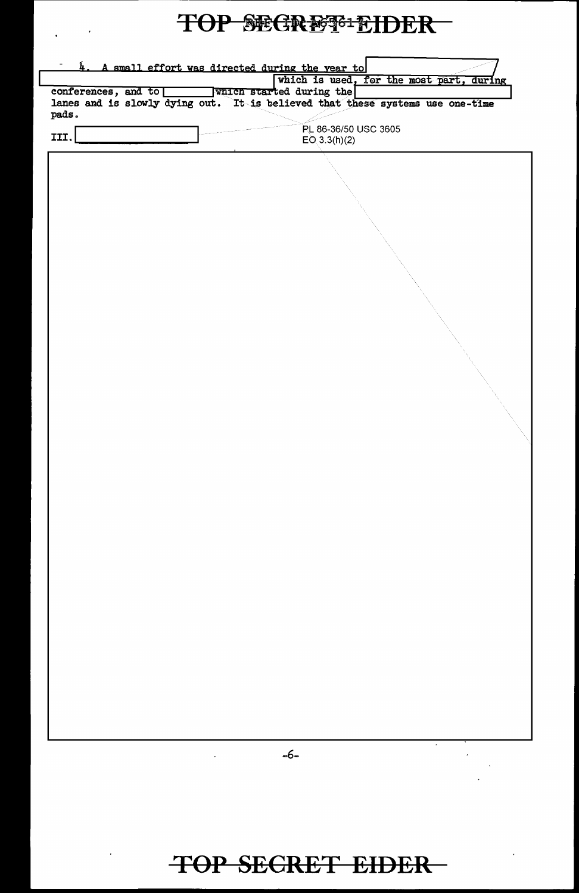# TOP SEGRESS-EIDER

 $\Delta_{\rm{max}}$  ,  $\Delta_{\rm{max}}$ 

| conferences, and to | 4. A small effort was directed during the year to<br>which is used, for the most part, during<br>which started during the |
|---------------------|---------------------------------------------------------------------------------------------------------------------------|
|                     | lanes and is slowly dying out. It is believed that these systems use one-time                                             |
| pads.               | PL 86-36/50 USC 3605                                                                                                      |
| III.                | EO(3.3(h)(2)                                                                                                              |
|                     |                                                                                                                           |
|                     |                                                                                                                           |
|                     |                                                                                                                           |
|                     |                                                                                                                           |
|                     |                                                                                                                           |
|                     |                                                                                                                           |
|                     |                                                                                                                           |
|                     |                                                                                                                           |
|                     |                                                                                                                           |
|                     |                                                                                                                           |
|                     |                                                                                                                           |
|                     |                                                                                                                           |
|                     |                                                                                                                           |
|                     |                                                                                                                           |
|                     |                                                                                                                           |
|                     |                                                                                                                           |
|                     |                                                                                                                           |
|                     |                                                                                                                           |
|                     |                                                                                                                           |
|                     |                                                                                                                           |
|                     |                                                                                                                           |
|                     |                                                                                                                           |
|                     |                                                                                                                           |
|                     |                                                                                                                           |
|                     |                                                                                                                           |
|                     |                                                                                                                           |
|                     |                                                                                                                           |
|                     |                                                                                                                           |
|                     |                                                                                                                           |
|                     |                                                                                                                           |
|                     |                                                                                                                           |
|                     |                                                                                                                           |
|                     | $\sim$<br>-6-                                                                                                             |
|                     |                                                                                                                           |
|                     |                                                                                                                           |
|                     |                                                                                                                           |
|                     |                                                                                                                           |
|                     |                                                                                                                           |
|                     | <b>TOP SECRET EIDER</b>                                                                                                   |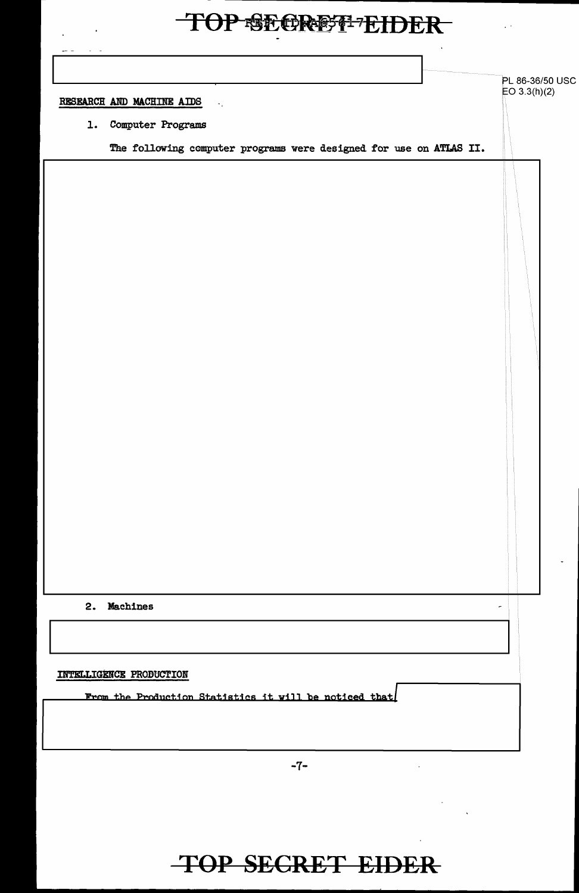$\sim 10^{11}$  km  $^{-1}$ 

 $\ddot{\phantom{a}}$ 

 $\sim 10$ 

| RESEARCH AND MACHINE AIDS<br>1. | Computer Programs                                                  |  | ۰. |  |  |  |  |  |  |  |  |
|---------------------------------|--------------------------------------------------------------------|--|----|--|--|--|--|--|--|--|--|
|                                 | The following computer programs were designed for use on ATLAS II. |  |    |  |  |  |  |  |  |  |  |
|                                 |                                                                    |  |    |  |  |  |  |  |  |  |  |
|                                 |                                                                    |  |    |  |  |  |  |  |  |  |  |
|                                 |                                                                    |  |    |  |  |  |  |  |  |  |  |
|                                 |                                                                    |  |    |  |  |  |  |  |  |  |  |
|                                 |                                                                    |  |    |  |  |  |  |  |  |  |  |
|                                 |                                                                    |  |    |  |  |  |  |  |  |  |  |
|                                 |                                                                    |  |    |  |  |  |  |  |  |  |  |
|                                 |                                                                    |  |    |  |  |  |  |  |  |  |  |
|                                 |                                                                    |  |    |  |  |  |  |  |  |  |  |
|                                 |                                                                    |  |    |  |  |  |  |  |  |  |  |
|                                 |                                                                    |  |    |  |  |  |  |  |  |  |  |
|                                 |                                                                    |  |    |  |  |  |  |  |  |  |  |
|                                 |                                                                    |  |    |  |  |  |  |  |  |  |  |
|                                 |                                                                    |  |    |  |  |  |  |  |  |  |  |
|                                 |                                                                    |  |    |  |  |  |  |  |  |  |  |
|                                 |                                                                    |  |    |  |  |  |  |  |  |  |  |
|                                 |                                                                    |  |    |  |  |  |  |  |  |  |  |
|                                 | 2. Machines                                                        |  |    |  |  |  |  |  |  |  |  |
|                                 |                                                                    |  |    |  |  |  |  |  |  |  |  |
|                                 |                                                                    |  |    |  |  |  |  |  |  |  |  |
| INTELLIGENCE PRODUCTION         |                                                                    |  |    |  |  |  |  |  |  |  |  |
|                                 | From the Production Statistics it will be noticed that             |  |    |  |  |  |  |  |  |  |  |
|                                 |                                                                    |  |    |  |  |  |  |  |  |  |  |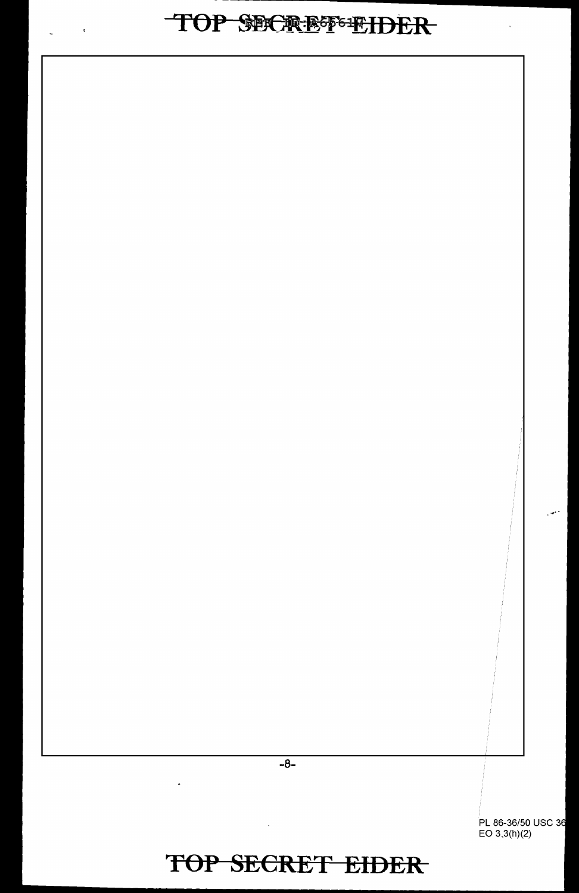# TOP SECREF-EIDER

 $\mathcal{R}^{\text{max}}_{\text{max}}(\mathcal{R}^{\text{max}}_{\text{max}}(\mathcal{R}^{\text{max}}_{\text{max}}))$ 

 $\ddot{\phantom{a}}$ 

 $-8-$ 

 $\ddot{\phantom{1}}$ 

PL 86-36/50 USC 36<br>EO 3.3(h)(2)

 $\sim$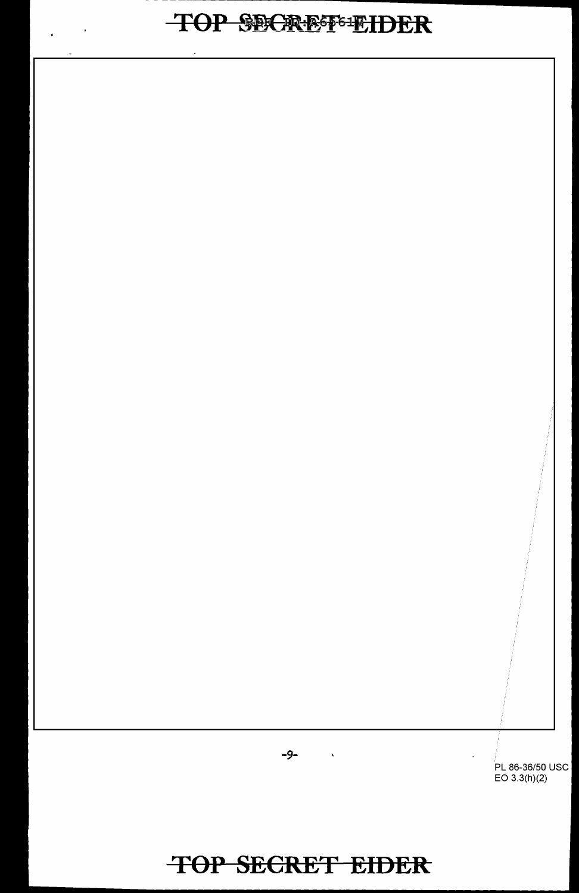# TOP SECREF-EIDER

 $\mathbf{y} = \mathbf{y} \in \mathbb{R}^{n \times n}$ 



 $\mathbb{Z}$ 

-9-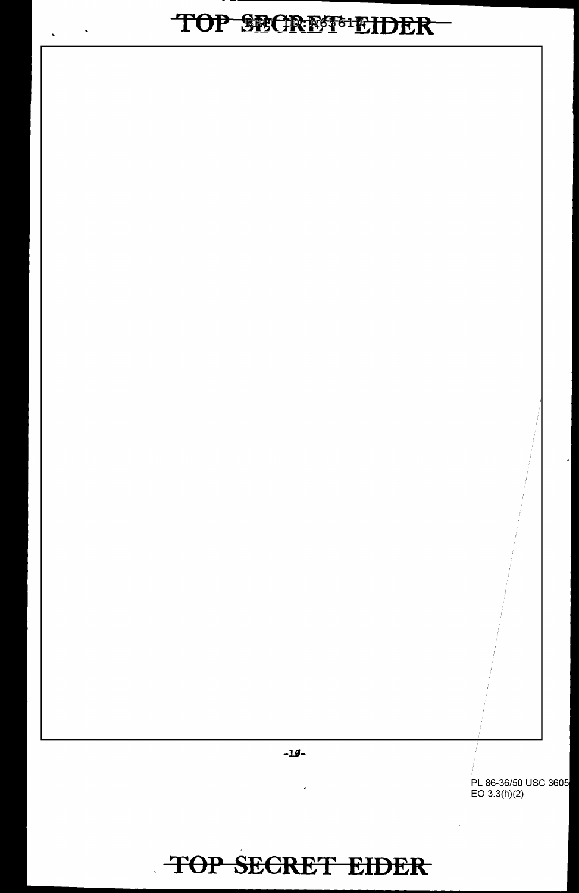$\langle \bullet \rangle$ 

 $\hat{\mathbf{z}}$ 

 $-10-$ 

ä,

PL 86-36/50 USC 3605<br>EO 3.3(h)(2)

 $\ddot{\phantom{a}}$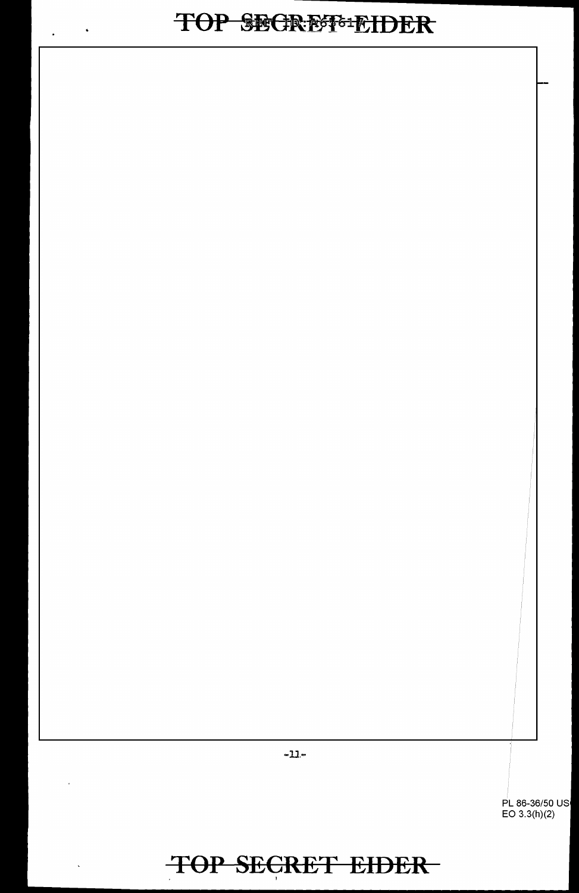# TOP SECREF-EIDER

 $\mathcal{A}$ 

 $\mathbf{v}$ 

 $\overline{\phantom{a}}$ 

 $\ddot{\phantom{a}}$ 

PL 86-36/50 US EO 3.3(h)(2)

-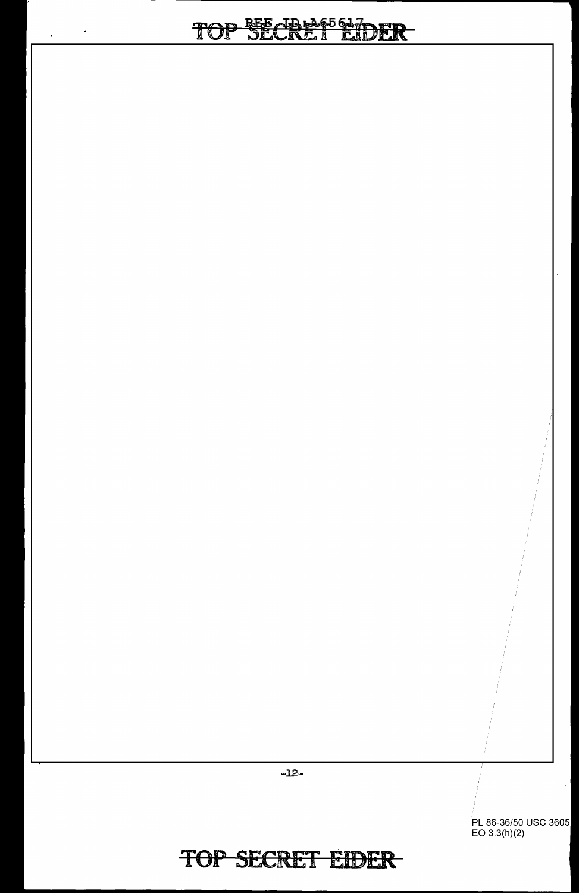# TOP SECREMONDER

 $\mathcal{A}^{\pm}$ 

 $\ddot{\phantom{a}}$ 

PL 86-36/50 USC 3605 EO 3.3(h)(2)

 $\frac{1}{2}$ 

#### **TOP SECRET EIDER**

-12-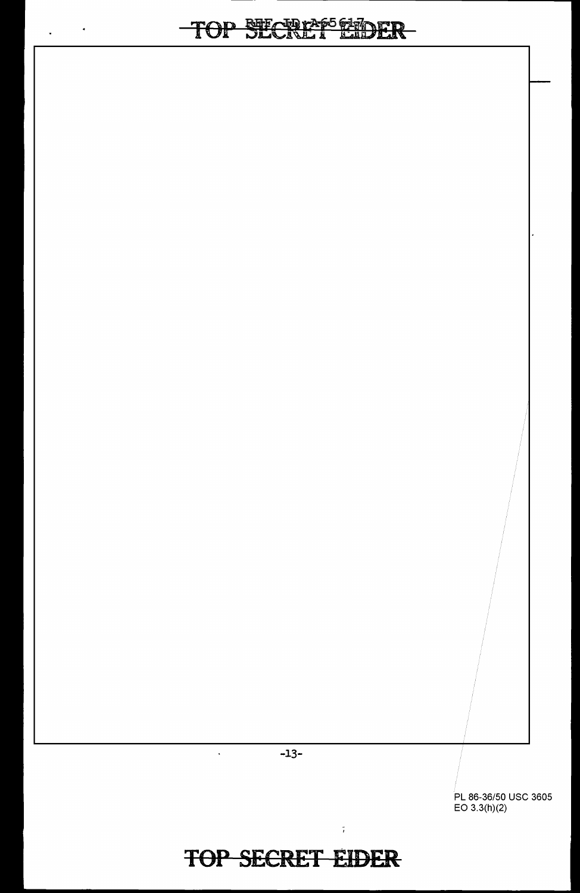## TOP SECRAPS SEDER

 $\varphi_{\rm{eff}}=0$ 

-13-

 $\hat{\mathcal{A}}$ 

PL 86-36/50 USC 3605 EO 3.3(h)(2)

|<br>|-

## **TOP SECRET EIDER**

 $\sim 10^{-10}$  GeV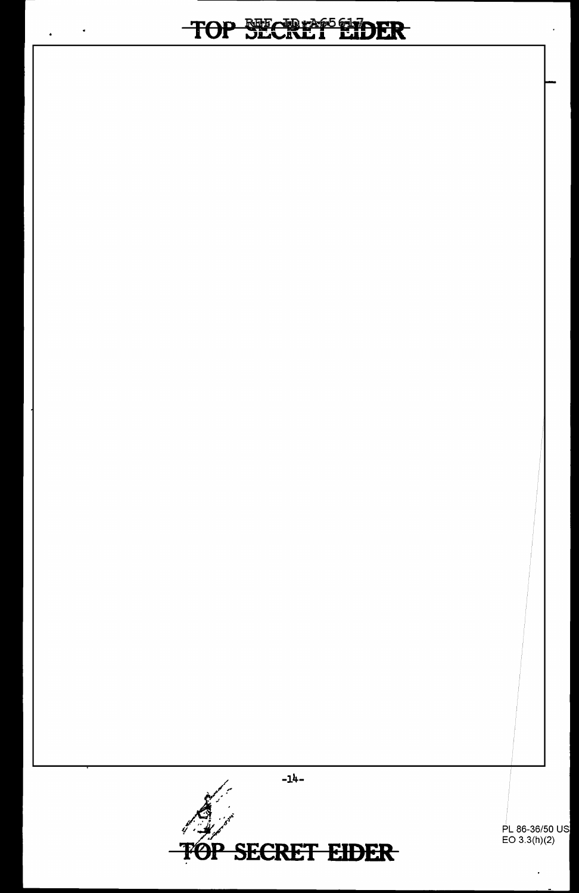$\bullet$ 

 $\ddot{\phantom{1}}$ 



PL 86-36/50 US<br>EO 3.3(h)(2)

 $\ddot{\phantom{0}}$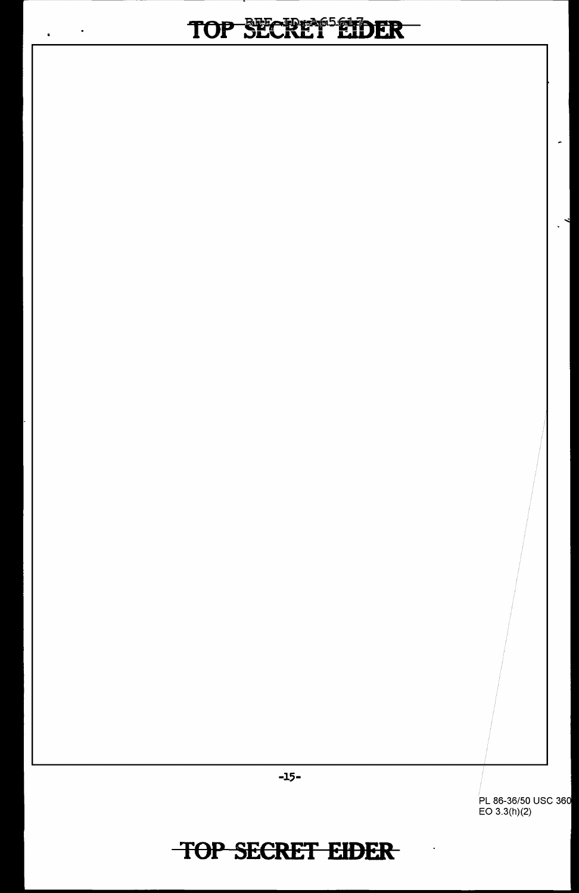# TOP SECREM<sup>55</sup>EIDER

 $\ddot{\phantom{a}}$ 

 $\ddot{\bullet}$ 

PL 86-36/50 USC 36 EO 3.3(h)(2)

 $\overline{\phantom{0}}$ 

 $\ddot{\phantom{a}}$ 

**TOP SECRET EIDER** 

-15-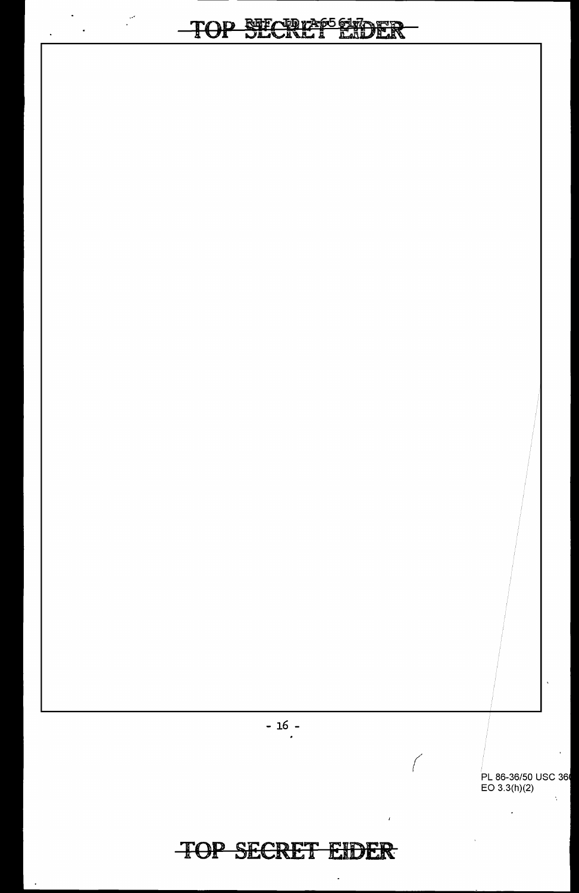$\frac{1}{\sqrt{2}}\left( \frac{1}{\sqrt{2}}\right) \left( \frac{1}{\sqrt{2}}\right) \left( \frac{1}{\sqrt{2}}\right) \left( \frac{1}{\sqrt{2}}\right) \left( \frac{1}{\sqrt{2}}\right) \left( \frac{1}{\sqrt{2}}\right) \left( \frac{1}{\sqrt{2}}\right) \left( \frac{1}{\sqrt{2}}\right) \left( \frac{1}{\sqrt{2}}\right) \left( \frac{1}{\sqrt{2}}\right) \left( \frac{1}{\sqrt{2}}\right) \left( \frac{1}{\sqrt{2}}\right) \left( \frac{1}{\sqrt{2}}\right) \left$ 

 $\ddot{\phantom{0}}$ 

 $-16 -$ 

#### **TOP SECRET EIDER**

PL 86-36/50 USC 36<br>EO 3.3(h)(2)  $\lambda$ 

 $\mathbf{r}$ 

 $\bigg($ 

 $\pmb{\cdot}$ 

ä,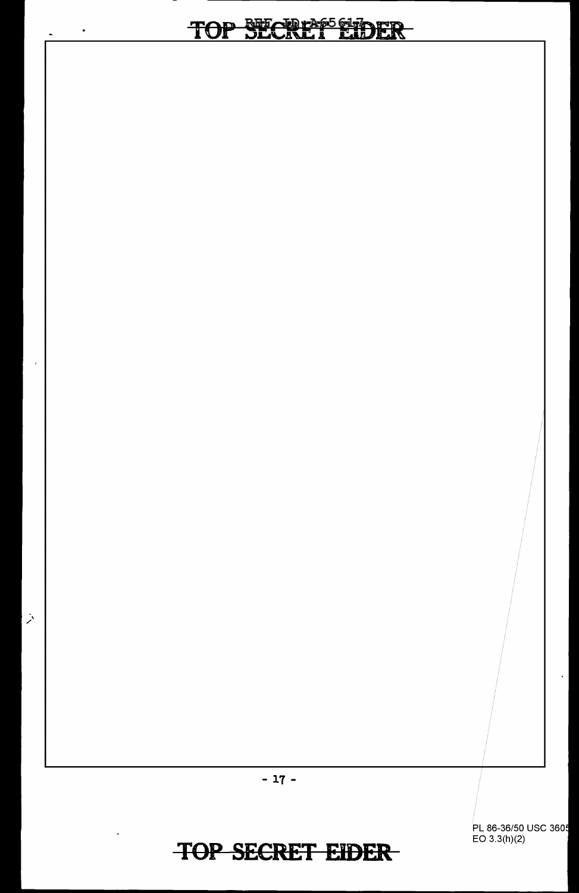PL 86-36/50 USC 360 EO 3.3(h)(2)

- 17 -

TOP SECRET EDER

 $\lambda$ 

l,

 $\bullet$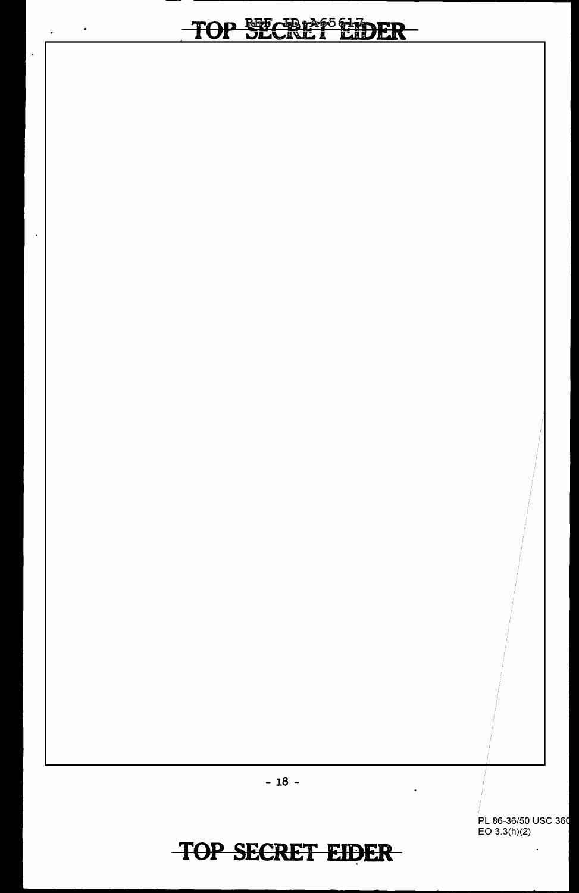# TOP SECRAFE HDER

 $\bullet$ 

 $\mathbf{z}^{(i)}$  .

l,

 $\overline{a}$ 

PL 86-36/50 USC 36 EO 3.3(h)(2)

 $\ddot{\phantom{0}}$ 

- 18 -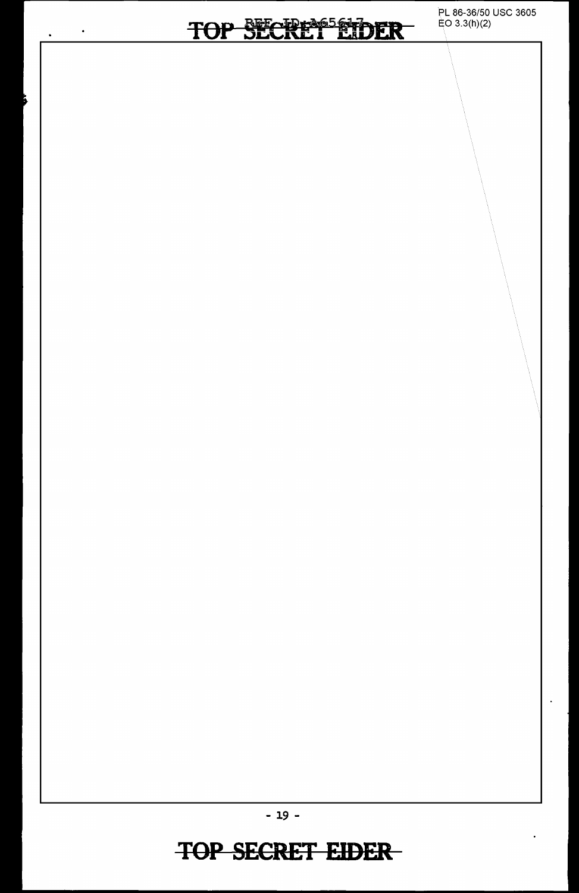$\bullet$ 

 $\ddot{\phantom{0}}$ 

Б

PL 86-36/50 USC 3605 EO 3.3(h)(2)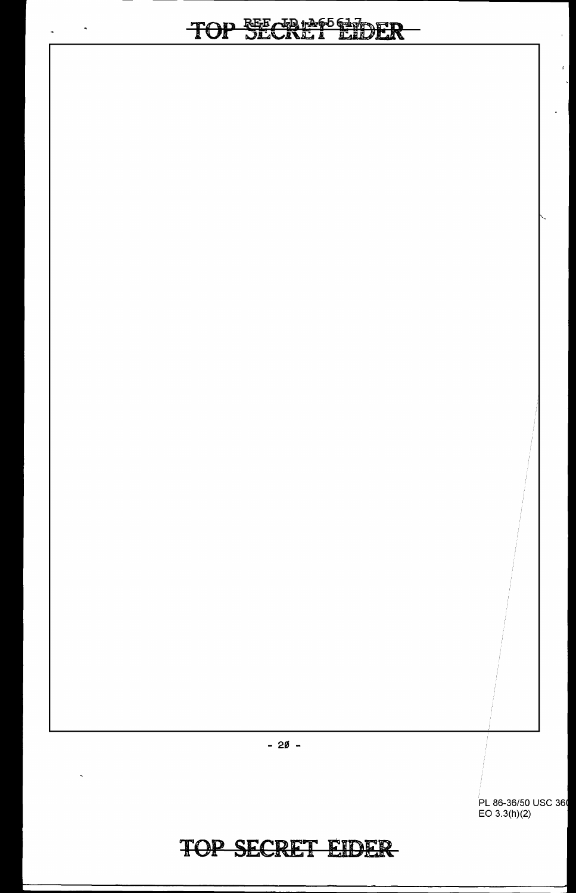# - --------------------

 $\hat{\boldsymbol{\theta}}$ 

 $\sim$ 

 $\hat{\mathbf{z}}$ 



86-36/50 USC 36 EO 3.3(h)(2)

 $\mathbf{r}$ 

 $\mathbf{L}$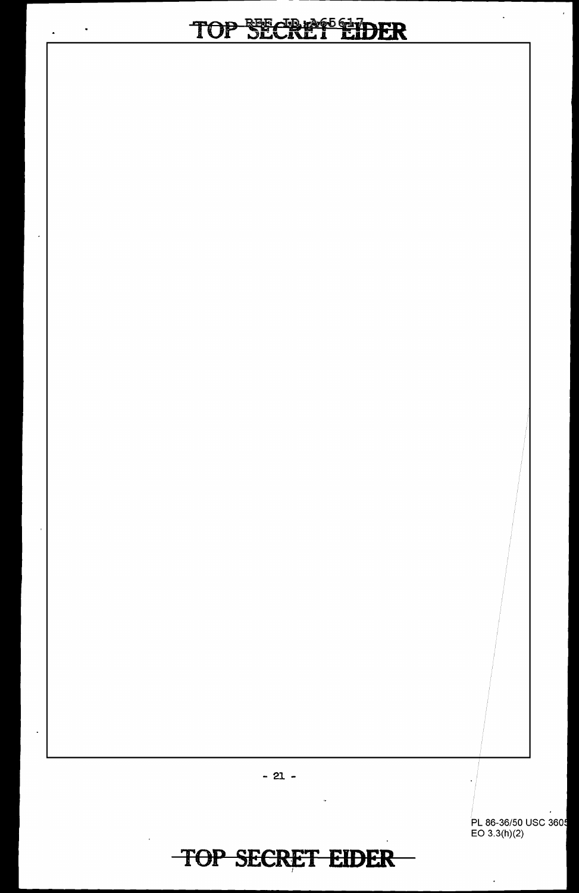#### **JP SECRREETIDER**  $\mathbf T$

 $\ddot{\phantom{1}}$ 

 $\ddot{\phantom{a}}$ 



 $-21 -$ 

PL 86-36/50 USC 3605<br>EO 3.3(h)(2)

 $\epsilon$ 

 $\ddot{\phantom{a}}$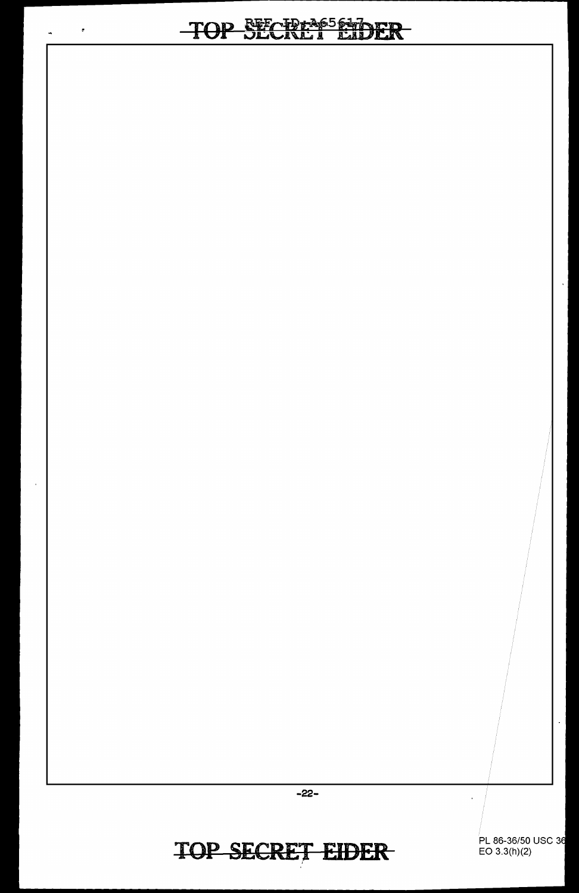# TOP SECIENCE EIDER

 $\ddot{\phantom{0}}$ 

 $\hat{\mathbf{r}}$ 

 $\overline{1}$ 

TOP SECRET EIDER

 $-22-$ 

PL 86-36/50 USC 36<br>EO 3.3(h)(2)

 $\overline{\phantom{a}}$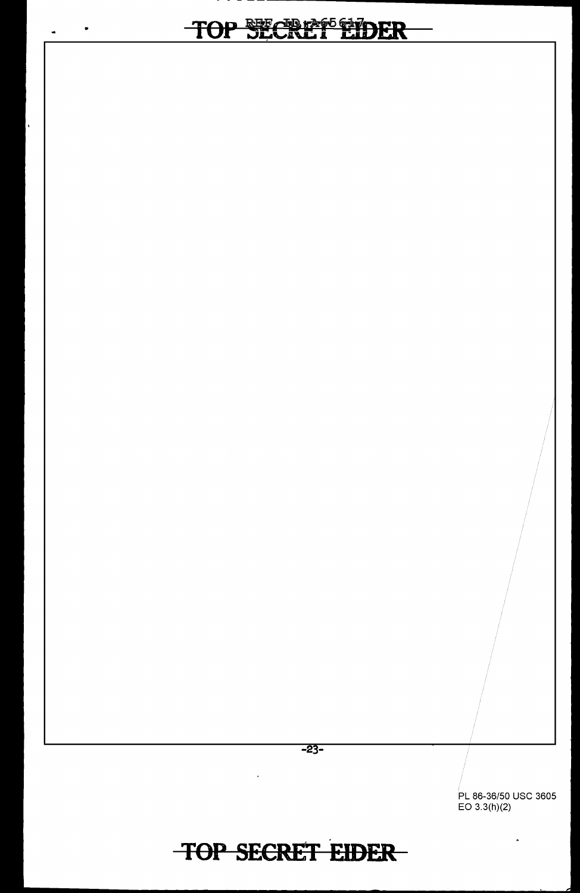# TOP SECRIP®EDER

•

 $\bullet$ 

 $\overline{\phantom{a}}$ 

PL 86-36/50 USC 3605 EO 3.3(h)(2)

 $\hat{\mathbf{z}}$ 

# TOP SECRET **EIDER**

 $\bar{A}$ 

-23-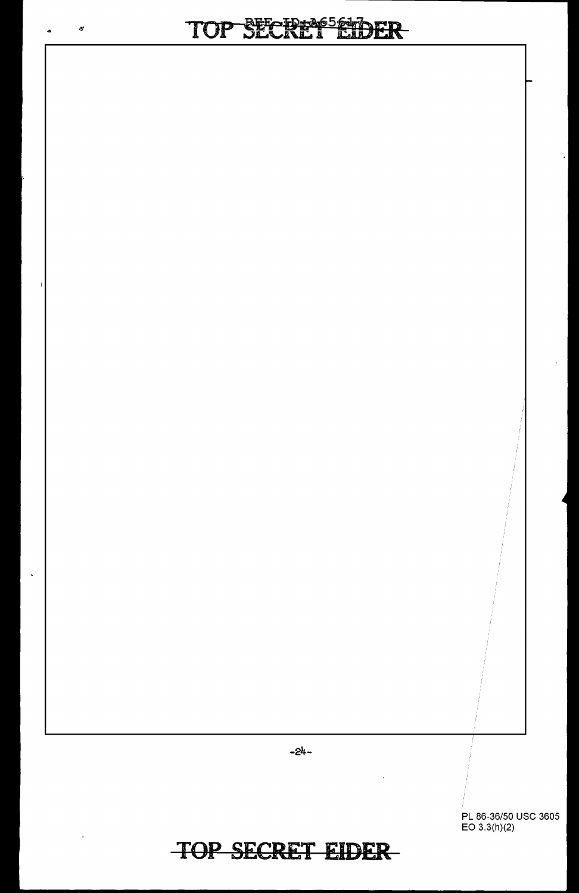

86-36/50 USC 3605 EO 3.3(h)(2)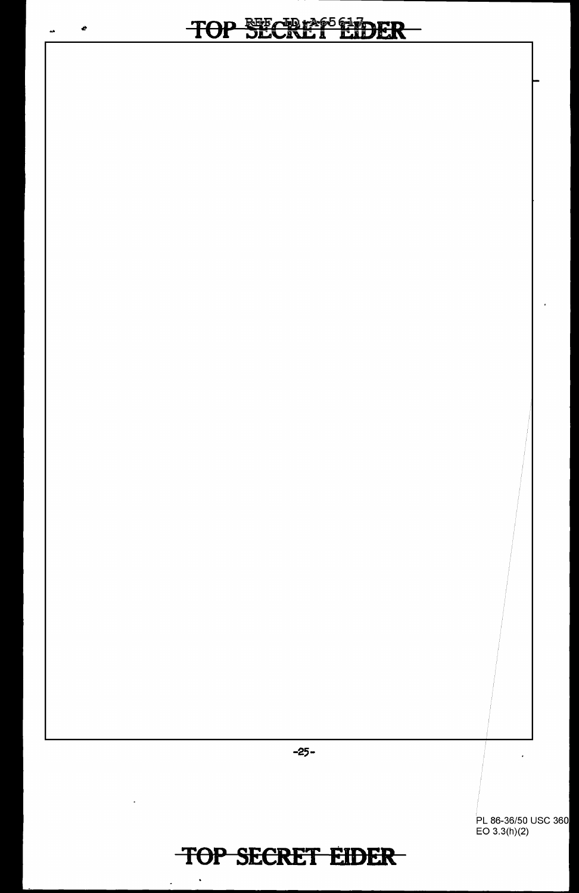$\pmb{e}$ 

 $\hat{\mathbf{a}}$ 

-25-

86-36/50 USC 360 EO 3.3(h)(2)

## **TOP SECRET EIDER**

 $\ddot{\phantom{0}}$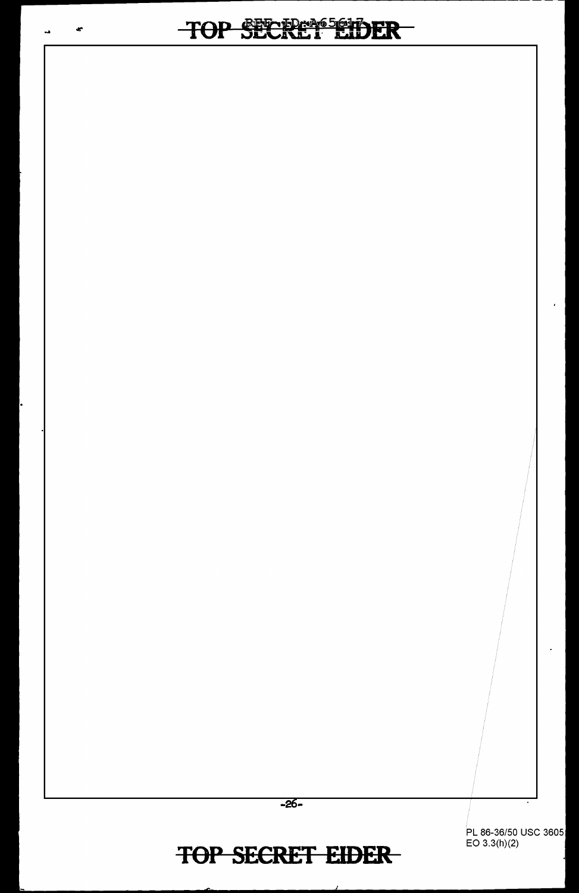

PL 86-36/50 USC 3605 EO 3.3(h)(2)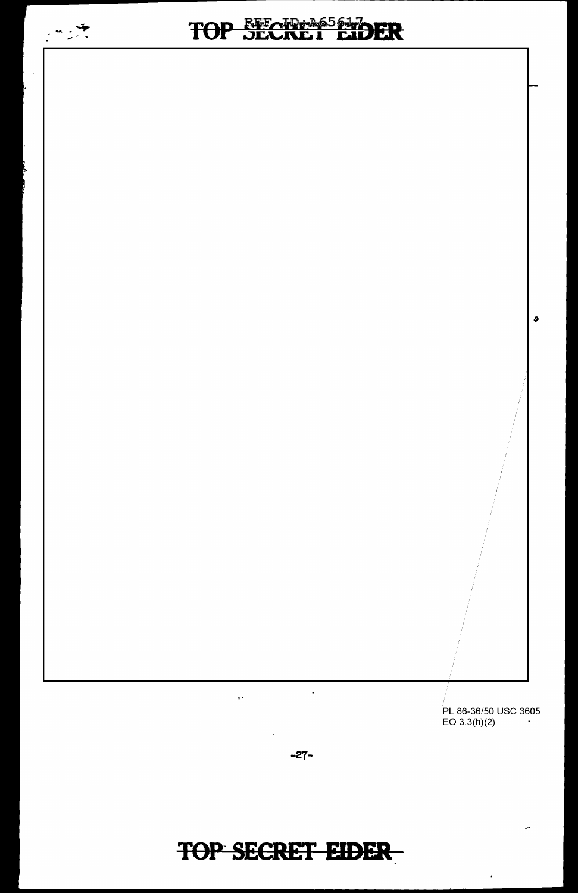

 $\ddot{\phantom{0}}$